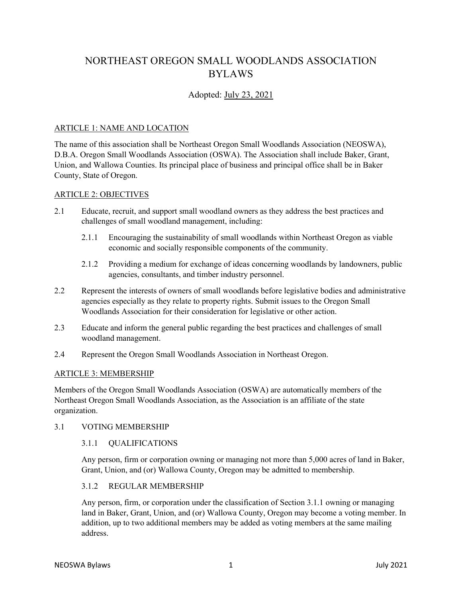# NORTHEAST OREGON SMALL WOODLANDS ASSOCIATION BYLAWS

## Adopted: July 23, 2021

## ARTICLE 1: NAME AND LOCATION

The name of this association shall be Northeast Oregon Small Woodlands Association (NEOSWA), D.B.A. Oregon Small Woodlands Association (OSWA). The Association shall include Baker, Grant, Union, and Wallowa Counties. Its principal place of business and principal office shall be in Baker County, State of Oregon.

## ARTICLE 2: OBJECTIVES

- 2.1 Educate, recruit, and support small woodland owners as they address the best practices and challenges of small woodland management, including:
	- 2.1.1 Encouraging the sustainability of small woodlands within Northeast Oregon as viable economic and socially responsible components of the community.
	- 2.1.2 Providing a medium for exchange of ideas concerning woodlands by landowners, public agencies, consultants, and timber industry personnel.
- 2.2 Represent the interests of owners of small woodlands before legislative bodies and administrative agencies especially as they relate to property rights. Submit issues to the Oregon Small Woodlands Association for their consideration for legislative or other action.
- 2.3 Educate and inform the general public regarding the best practices and challenges of small woodland management.
- 2.4 Represent the Oregon Small Woodlands Association in Northeast Oregon.

#### ARTICLE 3: MEMBERSHIP

Members of the Oregon Small Woodlands Association (OSWA) are automatically members of the Northeast Oregon Small Woodlands Association, as the Association is an affiliate of the state organization.

#### 3.1 VOTING MEMBERSHIP

## 3.1.1 QUALIFICATIONS

Any person, firm or corporation owning or managing not more than 5,000 acres of land in Baker, Grant, Union, and (or) Wallowa County, Oregon may be admitted to membership.

## 3.1.2 REGULAR MEMBERSHIP

Any person, firm, or corporation under the classification of Section 3.1.1 owning or managing land in Baker, Grant, Union, and (or) Wallowa County, Oregon may become a voting member. In addition, up to two additional members may be added as voting members at the same mailing address.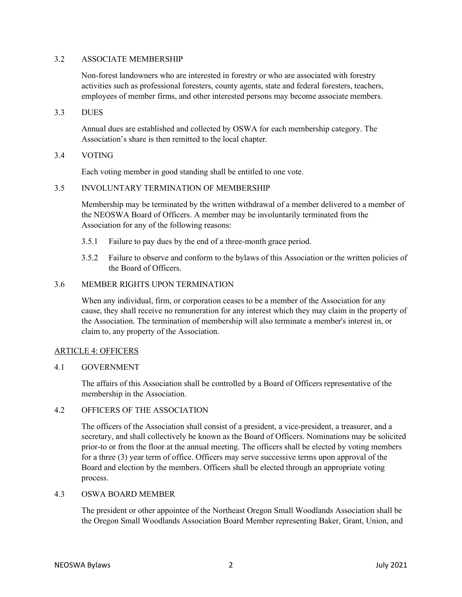#### 3.2 ASSOCIATE MEMBERSHIP

Non-forest landowners who are interested in forestry or who are associated with forestry activities such as professional foresters, county agents, state and federal foresters, teachers, employees of member firms, and other interested persons may become associate members.

3.3 DUES

Annual dues are established and collected by OSWA for each membership category. The Association's share is then remitted to the local chapter.

## 3.4 VOTING

Each voting member in good standing shall be entitled to one vote.

## 3.5 INVOLUNTARY TERMINATION OF MEMBERSHIP

Membership may be terminated by the written withdrawal of a member delivered to a member of the NEOSWA Board of Officers. A member may be involuntarily terminated from the Association for any of the following reasons:

- 3.5.1 Failure to pay dues by the end of a three-month grace period.
- 3.5.2 Failure to observe and conform to the bylaws of this Association or the written policies of the Board of Officers.

## 3.6 MEMBER RIGHTS UPON TERMINATION

When any individual, firm, or corporation ceases to be a member of the Association for any cause, they shall receive no remuneration for any interest which they may claim in the property of the Association. The termination of membership will also terminate a member's interest in, or claim to, any property of the Association.

## ARTICLE 4: OFFICERS

## 4.1 GOVERNMENT

The affairs of this Association shall be controlled by a Board of Officers representative of the membership in the Association.

## 4.2 OFFICERS OF THE ASSOCIATION

The officers of the Association shall consist of a president, a vice-president, a treasurer, and a secretary, and shall collectively be known as the Board of Officers. Nominations may be solicited prior-to or from the floor at the annual meeting. The officers shall be elected by voting members for a three (3) year term of office. Officers may serve successive terms upon approval of the Board and election by the members. Officers shall be elected through an appropriate voting process.

## 4.3 OSWA BOARD MEMBER

The president or other appointee of the Northeast Oregon Small Woodlands Association shall be the Oregon Small Woodlands Association Board Member representing Baker, Grant, Union, and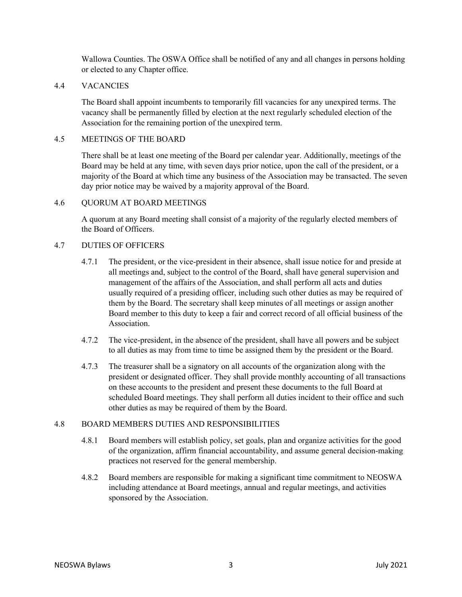Wallowa Counties. The OSWA Office shall be notified of any and all changes in persons holding or elected to any Chapter office.

## 4.4 VACANCIES

The Board shall appoint incumbents to temporarily fill vacancies for any unexpired terms. The vacancy shall be permanently filled by election at the next regularly scheduled election of the Association for the remaining portion of the unexpired term.

## 4.5 MEETINGS OF THE BOARD

There shall be at least one meeting of the Board per calendar year. Additionally, meetings of the Board may be held at any time, with seven days prior notice, upon the call of the president, or a majority of the Board at which time any business of the Association may be transacted. The seven day prior notice may be waived by a majority approval of the Board.

## 4.6 QUORUM AT BOARD MEETINGS

A quorum at any Board meeting shall consist of a majority of the regularly elected members of the Board of Officers.

## 4.7 DUTIES OF OFFICERS

- 4.7.1 The president, or the vice-president in their absence, shall issue notice for and preside at all meetings and, subject to the control of the Board, shall have general supervision and management of the affairs of the Association, and shall perform all acts and duties usually required of a presiding officer, including such other duties as may be required of them by the Board. The secretary shall keep minutes of all meetings or assign another Board member to this duty to keep a fair and correct record of all official business of the Association.
- 4.7.2 The vice-president, in the absence of the president, shall have all powers and be subject to all duties as may from time to time be assigned them by the president or the Board.
- 4.7.3 The treasurer shall be a signatory on all accounts of the organization along with the president or designated officer. They shall provide monthly accounting of all transactions on these accounts to the president and present these documents to the full Board at scheduled Board meetings. They shall perform all duties incident to their office and such other duties as may be required of them by the Board.

#### 4.8 BOARD MEMBERS DUTIES AND RESPONSIBILITIES

- 4.8.1 Board members will establish policy, set goals, plan and organize activities for the good of the organization, affirm financial accountability, and assume general decision-making practices not reserved for the general membership.
- 4.8.2 Board members are responsible for making a significant time commitment to NEOSWA including attendance at Board meetings, annual and regular meetings, and activities sponsored by the Association.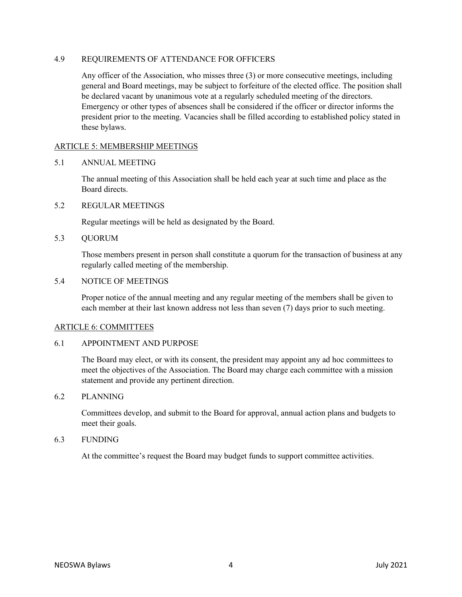#### 4.9 REQUIREMENTS OF ATTENDANCE FOR OFFICERS

Any officer of the Association, who misses three (3) or more consecutive meetings, including general and Board meetings, may be subject to forfeiture of the elected office. The position shall be declared vacant by unanimous vote at a regularly scheduled meeting of the directors. Emergency or other types of absences shall be considered if the officer or director informs the president prior to the meeting. Vacancies shall be filled according to established policy stated in these bylaws.

## ARTICLE 5: MEMBERSHIP MEETINGS

#### 5.1 ANNUAL MEETING

The annual meeting of this Association shall be held each year at such time and place as the Board directs.

#### 5.2 REGULAR MEETINGS

Regular meetings will be held as designated by the Board.

5.3 QUORUM

Those members present in person shall constitute a quorum for the transaction of business at any regularly called meeting of the membership.

#### 5.4 NOTICE OF MEETINGS

Proper notice of the annual meeting and any regular meeting of the members shall be given to each member at their last known address not less than seven (7) days prior to such meeting.

#### ARTICLE 6: COMMITTEES

#### 6.1 APPOINTMENT AND PURPOSE

The Board may elect, or with its consent, the president may appoint any ad hoc committees to meet the objectives of the Association. The Board may charge each committee with a mission statement and provide any pertinent direction.

#### 6.2 PLANNING

Committees develop, and submit to the Board for approval, annual action plans and budgets to meet their goals.

#### 6.3 FUNDING

At the committee's request the Board may budget funds to support committee activities.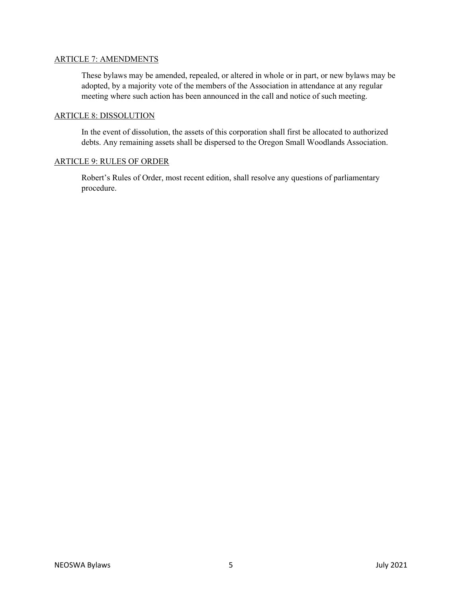#### ARTICLE 7: AMENDMENTS

These bylaws may be amended, repealed, or altered in whole or in part, or new bylaws may be adopted, by a majority vote of the members of the Association in attendance at any regular meeting where such action has been announced in the call and notice of such meeting.

#### ARTICLE 8: DISSOLUTION

In the event of dissolution, the assets of this corporation shall first be allocated to authorized debts. Any remaining assets shall be dispersed to the Oregon Small Woodlands Association.

## ARTICLE 9: RULES OF ORDER

Robert's Rules of Order, most recent edition, shall resolve any questions of parliamentary procedure.